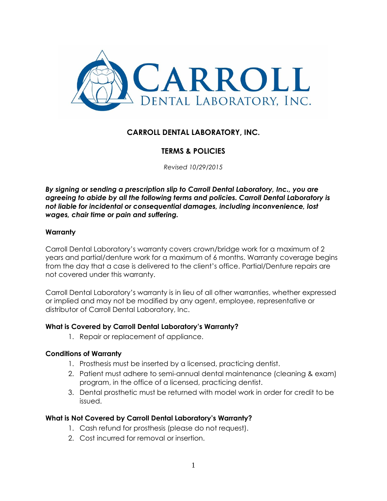

# **CARROLL DENTAL LABORATORY, INC.**

## **TERMS & POLICIES**

*Revised 10/29/2015*

*By signing or sending a prescription slip to Carroll Dental Laboratory, Inc., you are agreeing to abide by all the following terms and policies. Carroll Dental Laboratory is not liable for incidental or consequential damages, including inconvenience, lost wages, chair time or pain and suffering.*

#### **Warranty**

Carroll Dental Laboratory's warranty covers crown/bridge work for a maximum of 2 years and partial/denture work for a maximum of 6 months. Warranty coverage begins from the day that a case is delivered to the client's office. Partial/Denture repairs are not covered under this warranty.

Carroll Dental Laboratory's warranty is in lieu of all other warranties, whether expressed or implied and may not be modified by any agent, employee, representative or distributor of Carroll Dental Laboratory, Inc.

#### **What is Covered by Carroll Dental Laboratory's Warranty?**

1. Repair or replacement of appliance.

#### **Conditions of Warranty**

- 1. Prosthesis must be inserted by a licensed, practicing dentist.
- 2. Patient must adhere to semi-annual dental maintenance (cleaning & exam) program, in the office of a licensed, practicing dentist.
- 3. Dental prosthetic must be returned with model work in order for credit to be issued.

#### **What is Not Covered by Carroll Dental Laboratory's Warranty?**

- 1. Cash refund for prosthesis (please do not request).
- 2. Cost incurred for removal or insertion.